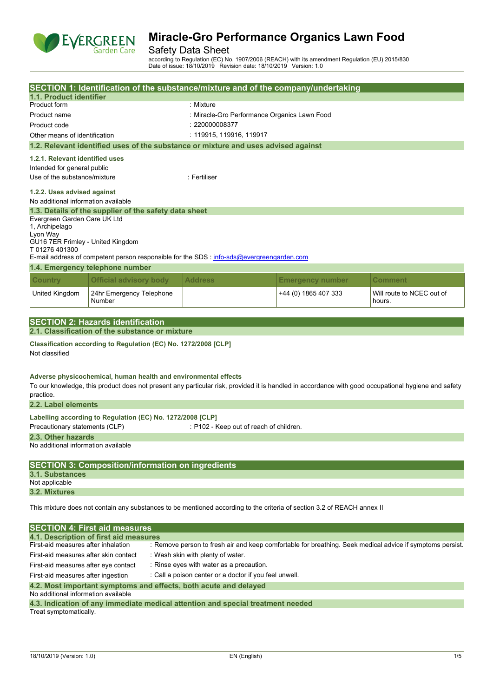

## Safety Data Sheet

according to Regulation (EC) No. 1907/2006 (REACH) with its amendment Regulation (EU) 2015/830 Date of issue: 18/10/2019 Revision date: 18/10/2019 Version: 1.0

|                                                                                                                         |                                                                                  |  | SECTION 1: Identification of the substance/mixture and of the company/undertaking         |                         |                                                                                                                                                     |  |  |  |
|-------------------------------------------------------------------------------------------------------------------------|----------------------------------------------------------------------------------|--|-------------------------------------------------------------------------------------------|-------------------------|-----------------------------------------------------------------------------------------------------------------------------------------------------|--|--|--|
| 1.1. Product identifier                                                                                                 |                                                                                  |  |                                                                                           |                         |                                                                                                                                                     |  |  |  |
| Product form                                                                                                            |                                                                                  |  | : Mixture                                                                                 |                         |                                                                                                                                                     |  |  |  |
| Product name                                                                                                            |                                                                                  |  | : Miracle-Gro Performance Organics Lawn Food                                              |                         |                                                                                                                                                     |  |  |  |
| Product code                                                                                                            |                                                                                  |  | : 220000008377                                                                            |                         |                                                                                                                                                     |  |  |  |
| Other means of identification                                                                                           |                                                                                  |  | : 119915, 119916, 119917                                                                  |                         |                                                                                                                                                     |  |  |  |
|                                                                                                                         |                                                                                  |  | 1.2. Relevant identified uses of the substance or mixture and uses advised against        |                         |                                                                                                                                                     |  |  |  |
| 1.2.1. Relevant identified uses                                                                                         |                                                                                  |  |                                                                                           |                         |                                                                                                                                                     |  |  |  |
| Intended for general public                                                                                             |                                                                                  |  |                                                                                           |                         |                                                                                                                                                     |  |  |  |
| Use of the substance/mixture                                                                                            |                                                                                  |  | : Fertiliser                                                                              |                         |                                                                                                                                                     |  |  |  |
|                                                                                                                         | 1.2.2. Uses advised against<br>No additional information available               |  |                                                                                           |                         |                                                                                                                                                     |  |  |  |
|                                                                                                                         | 1.3. Details of the supplier of the safety data sheet                            |  |                                                                                           |                         |                                                                                                                                                     |  |  |  |
| Evergreen Garden Care UK Ltd                                                                                            |                                                                                  |  |                                                                                           |                         |                                                                                                                                                     |  |  |  |
| 1, Archipelago                                                                                                          |                                                                                  |  |                                                                                           |                         |                                                                                                                                                     |  |  |  |
| Lyon Way<br>GU16 7ER Frimley - United Kingdom                                                                           |                                                                                  |  |                                                                                           |                         |                                                                                                                                                     |  |  |  |
| T 01276 401300                                                                                                          |                                                                                  |  |                                                                                           |                         |                                                                                                                                                     |  |  |  |
|                                                                                                                         |                                                                                  |  | E-mail address of competent person responsible for the SDS : info-sds@evergreengarden.com |                         |                                                                                                                                                     |  |  |  |
|                                                                                                                         | 1.4. Emergency telephone number                                                  |  |                                                                                           |                         |                                                                                                                                                     |  |  |  |
| <b>Country</b>                                                                                                          | <b>Official advisory body</b>                                                    |  | <b>Address</b>                                                                            | <b>Emergency number</b> | Comment                                                                                                                                             |  |  |  |
| United Kingdom                                                                                                          | 24hr Emergency Telephone<br>Number                                               |  |                                                                                           | +44 (0) 1865 407 333    | Will route to NCEC out of<br>hours.                                                                                                                 |  |  |  |
|                                                                                                                         |                                                                                  |  |                                                                                           |                         |                                                                                                                                                     |  |  |  |
|                                                                                                                         | <b>SECTION 2: Hazards identification</b>                                         |  |                                                                                           |                         |                                                                                                                                                     |  |  |  |
|                                                                                                                         | 2.1. Classification of the substance or mixture                                  |  |                                                                                           |                         |                                                                                                                                                     |  |  |  |
| Not classified                                                                                                          | Classification according to Regulation (EC) No. 1272/2008 [CLP]                  |  |                                                                                           |                         |                                                                                                                                                     |  |  |  |
|                                                                                                                         | Adverse physicochemical, human health and environmental effects                  |  |                                                                                           |                         | To our knowledge, this product does not present any particular risk, provided it is handled in accordance with good occupational hygiene and safety |  |  |  |
| practice.<br>2.2. Label elements                                                                                        |                                                                                  |  |                                                                                           |                         |                                                                                                                                                     |  |  |  |
|                                                                                                                         |                                                                                  |  |                                                                                           |                         |                                                                                                                                                     |  |  |  |
| Precautionary statements (CLP)                                                                                          | Labelling according to Regulation (EC) No. 1272/2008 [CLP]                       |  | : P102 - Keep out of reach of children.                                                   |                         |                                                                                                                                                     |  |  |  |
| 2.3. Other hazards                                                                                                      |                                                                                  |  |                                                                                           |                         |                                                                                                                                                     |  |  |  |
| No additional information available                                                                                     |                                                                                  |  |                                                                                           |                         |                                                                                                                                                     |  |  |  |
|                                                                                                                         |                                                                                  |  |                                                                                           |                         |                                                                                                                                                     |  |  |  |
|                                                                                                                         | <b>SECTION 3: Composition/information on ingredients</b>                         |  |                                                                                           |                         |                                                                                                                                                     |  |  |  |
| <b>3.1. Substances</b><br>Not applicable                                                                                |                                                                                  |  |                                                                                           |                         |                                                                                                                                                     |  |  |  |
| 3.2. Mixtures                                                                                                           |                                                                                  |  |                                                                                           |                         |                                                                                                                                                     |  |  |  |
|                                                                                                                         |                                                                                  |  |                                                                                           |                         |                                                                                                                                                     |  |  |  |
| This mixture does not contain any substances to be mentioned according to the criteria of section 3.2 of REACH annex II |                                                                                  |  |                                                                                           |                         |                                                                                                                                                     |  |  |  |
|                                                                                                                         |                                                                                  |  |                                                                                           |                         |                                                                                                                                                     |  |  |  |
| <b>SECTION 4: First aid measures</b><br>4.1. Description of first aid measures                                          |                                                                                  |  |                                                                                           |                         |                                                                                                                                                     |  |  |  |
| First-aid measures after inhalation                                                                                     |                                                                                  |  |                                                                                           |                         | : Remove person to fresh air and keep comfortable for breathing. Seek medical advice if symptoms persist.                                           |  |  |  |
| First-aid measures after skin contact                                                                                   |                                                                                  |  | : Wash skin with plenty of water.                                                         |                         |                                                                                                                                                     |  |  |  |
|                                                                                                                         | : Rinse eyes with water as a precaution.<br>First-aid measures after eye contact |  |                                                                                           |                         |                                                                                                                                                     |  |  |  |
| First-aid measures after ingestion<br>: Call a poison center or a doctor if you feel unwell.                            |                                                                                  |  |                                                                                           |                         |                                                                                                                                                     |  |  |  |
|                                                                                                                         |                                                                                  |  |                                                                                           |                         |                                                                                                                                                     |  |  |  |
| 4.2. Most important symptoms and effects, both acute and delayed<br>No additional information available                 |                                                                                  |  |                                                                                           |                         |                                                                                                                                                     |  |  |  |

Treat symptomatically.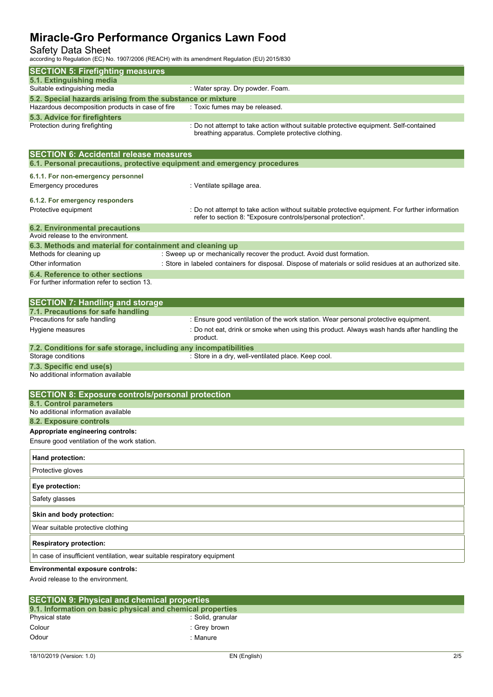## Safety Data Sheet

according to Regulation (EC) No. 1907/2006 (REACH) with its amendment Regulation (EU) 2015/830

| according to inegulation (EC) No. 1907/2000 (INLACIT) with its amendment negulation (EO) 2019/050 |                                                                                                                                                                |
|---------------------------------------------------------------------------------------------------|----------------------------------------------------------------------------------------------------------------------------------------------------------------|
| <b>SECTION 5: Firefighting measures</b>                                                           |                                                                                                                                                                |
| 5.1. Extinguishing media<br>Suitable extinguishing media                                          | : Water spray. Dry powder. Foam.                                                                                                                               |
| 5.2. Special hazards arising from the substance or mixture                                        |                                                                                                                                                                |
| Hazardous decomposition products in case of fire                                                  | : Toxic fumes may be released.                                                                                                                                 |
| 5.3. Advice for firefighters                                                                      |                                                                                                                                                                |
| Protection during firefighting                                                                    | : Do not attempt to take action without suitable protective equipment. Self-contained<br>breathing apparatus. Complete protective clothing.                    |
| <b>SECTION 6: Accidental release measures</b>                                                     |                                                                                                                                                                |
| 6.1. Personal precautions, protective equipment and emergency procedures                          |                                                                                                                                                                |
| 6.1.1. For non-emergency personnel                                                                |                                                                                                                                                                |
| <b>Emergency procedures</b>                                                                       | : Ventilate spillage area.                                                                                                                                     |
| 6.1.2. For emergency responders                                                                   |                                                                                                                                                                |
| Protective equipment                                                                              | : Do not attempt to take action without suitable protective equipment. For further information<br>refer to section 8: "Exposure controls/personal protection". |
| <b>6.2. Environmental precautions</b>                                                             |                                                                                                                                                                |
| Avoid release to the environment.                                                                 |                                                                                                                                                                |
| 6.3. Methods and material for containment and cleaning up<br>Methods for cleaning up              | : Sweep up or mechanically recover the product. Avoid dust formation.                                                                                          |
| Other information                                                                                 | : Store in labeled containers for disposal. Dispose of materials or solid residues at an authorized site.                                                      |
| 6.4. Reference to other sections<br>For further information refer to section 13.                  |                                                                                                                                                                |
| <b>SECTION 7: Handling and storage</b>                                                            |                                                                                                                                                                |
| 7.1. Precautions for safe handling<br>Precautions for safe handling                               | : Ensure good ventilation of the work station. Wear personal protective equipment.                                                                             |
| Hygiene measures                                                                                  | : Do not eat, drink or smoke when using this product. Always wash hands after handling the                                                                     |
|                                                                                                   | product.                                                                                                                                                       |
| 7.2. Conditions for safe storage, including any incompatibilities<br>Storage conditions           | : Store in a dry, well-ventilated place. Keep cool.                                                                                                            |
| 7.3. Specific end use(s)                                                                          |                                                                                                                                                                |
| No additional information available                                                               |                                                                                                                                                                |
| <b>SECTION 8: Exposure controls/personal protection</b>                                           |                                                                                                                                                                |
| 8.1. Control parameters                                                                           |                                                                                                                                                                |
| No additional information available<br>8.2. Exposure controls                                     |                                                                                                                                                                |
| Appropriate engineering controls:                                                                 |                                                                                                                                                                |
| Ensure good ventilation of the work station.                                                      |                                                                                                                                                                |
| Hand protection:                                                                                  |                                                                                                                                                                |
| Protective gloves                                                                                 |                                                                                                                                                                |
| Eye protection:                                                                                   |                                                                                                                                                                |
| Safety glasses                                                                                    |                                                                                                                                                                |
| Skin and body protection:                                                                         |                                                                                                                                                                |
| Wear suitable protective clothing                                                                 |                                                                                                                                                                |
| <b>Respiratory protection:</b>                                                                    |                                                                                                                                                                |
| In case of insufficient ventilation, wear suitable respiratory equipment                          |                                                                                                                                                                |
| Environmental exposure controls:<br>Avoid release to the environment.                             |                                                                                                                                                                |
|                                                                                                   |                                                                                                                                                                |

| <b>SECTION 9: Physical and chemical properties</b>         |                   |  |  |  |
|------------------------------------------------------------|-------------------|--|--|--|
| 9.1. Information on basic physical and chemical properties |                   |  |  |  |
| Physical state                                             | : Solid, granular |  |  |  |
| Colour                                                     | : Grev brown      |  |  |  |
| Odour                                                      | : Manure          |  |  |  |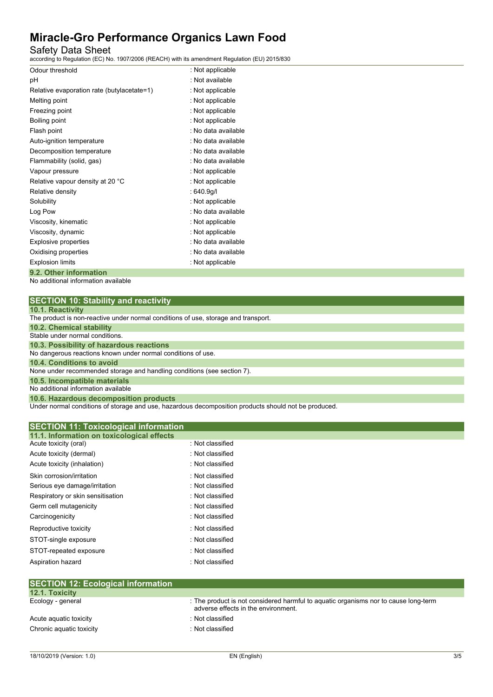## Safety Data Sheet

according to Regulation (EC) No. 1907/2006 (REACH) with its amendment Regulation (EU) 2015/830

| Odour threshold                            | : Not applicable    |
|--------------------------------------------|---------------------|
| рH                                         | : Not available     |
| Relative evaporation rate (butylacetate=1) | : Not applicable    |
| Melting point                              | : Not applicable    |
| Freezing point                             | : Not applicable    |
| Boiling point                              | : Not applicable    |
| Flash point                                | : No data available |
| Auto-ignition temperature                  | : No data available |
| Decomposition temperature                  | : No data available |
| Flammability (solid, gas)                  | . No data available |
| Vapour pressure                            | : Not applicable    |
| Relative vapour density at 20 °C           | : Not applicable    |
| Relative density                           | :640.9q/l           |
| Solubility                                 | : Not applicable    |
| Log Pow                                    | : No data available |
| Viscosity, kinematic                       | : Not applicable    |
| Viscosity, dynamic                         | : Not applicable    |
| Explosive properties                       | : No data available |
| Oxidising properties                       | : No data available |
| <b>Explosion limits</b>                    | : Not applicable    |
| 9.2. Other information                     |                     |

No additional information available

|  | <b>10.1. Reactivity</b> |  |  |  |  |
|--|-------------------------|--|--|--|--|
|  |                         |  |  |  |  |

| <b>IV.I. INGAULIVILY</b>                                                           |
|------------------------------------------------------------------------------------|
| The product is non-reactive under normal conditions of use, storage and transport. |
| <b>10.2. Chemical stability</b>                                                    |
| Stable under normal conditions.                                                    |
| 10.3. Possibility of hazardous reactions                                           |
| No dangerous reactions known under normal conditions of use.                       |
| 10.4. Conditions to avoid                                                          |
| None under recommended storage and handling conditions (see section 7).            |
| 10.5. Incompatible materials                                                       |
| No additional information available                                                |
| 10.6. Hazardous decomposition products                                             |

Under normal conditions of storage and use, hazardous decomposition products should not be produced.

| <b>SECTION 11: Toxicological information</b> |                  |  |
|----------------------------------------------|------------------|--|
| 11.1. Information on toxicological effects   |                  |  |
| Acute toxicity (oral)                        | : Not classified |  |
| Acute toxicity (dermal)                      | : Not classified |  |
| Acute toxicity (inhalation)                  | : Not classified |  |
| Skin corrosion/irritation                    | : Not classified |  |
| Serious eye damage/irritation                | : Not classified |  |
| Respiratory or skin sensitisation            | : Not classified |  |
| Germ cell mutagenicity                       | : Not classified |  |
| Carcinogenicity                              | : Not classified |  |
| Reproductive toxicity                        | : Not classified |  |
| STOT-single exposure                         | : Not classified |  |
| STOT-repeated exposure                       | : Not classified |  |
| Aspiration hazard                            | : Not classified |  |
|                                              |                  |  |

| ISLUTION TZ. LUOIUGIUAI IIIIUITIIALIUIT |                                                                                                                            |
|-----------------------------------------|----------------------------------------------------------------------------------------------------------------------------|
| <b>12.1. Toxicity</b>                   |                                                                                                                            |
| Ecology - general                       | : The product is not considered harmful to aguatic organisms nor to cause long-term<br>adverse effects in the environment. |
| Acute aguatic toxicity                  | : Not classified                                                                                                           |
| Chronic aquatic toxicity                | : Not classified                                                                                                           |
|                                         |                                                                                                                            |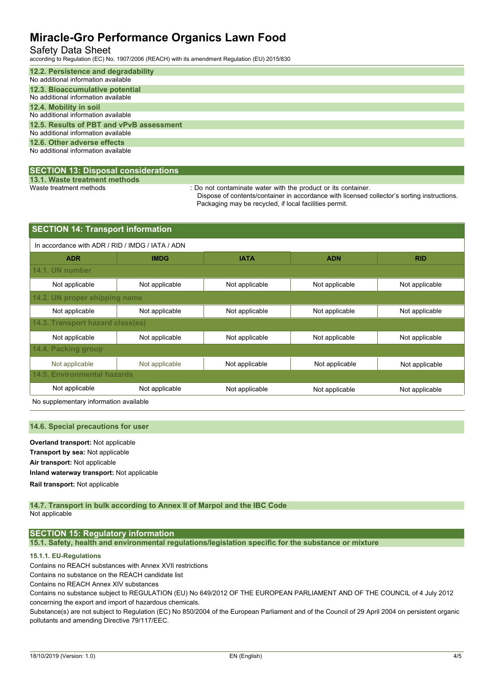### Safety Data Sheet

according to Regulation (EC) No. 1907/2006 (REACH) with its amendment Regulation (EU) 2015/830

| 12.2. Persistence and degradability      |
|------------------------------------------|
| No additional information available      |
| 12.3. Bioaccumulative potential          |
| No additional information available      |
| 12.4. Mobility in soil                   |
| No additional information available      |
| 12.5. Results of PBT and vPvB assessment |
| No additional information available      |
| 12.6. Other adverse effects              |
| No additional information available      |
|                                          |

### **SECTION 13: Disposal considerations**

**13.1. Waste treatment methods**

: Do not contaminate water with the product or its container.

Dispose of contents/container in accordance with licensed collector's sorting instructions. Packaging may be recycled, if local facilities permit.

| <b>SECTION 14: Transport information</b>         |                |                           |                |                |  |  |  |  |
|--------------------------------------------------|----------------|---------------------------|----------------|----------------|--|--|--|--|
| In accordance with ADR / RID / IMDG / IATA / ADN |                |                           |                |                |  |  |  |  |
| <b>ADR</b>                                       | <b>IMDG</b>    | <b>IATA</b><br><b>ADN</b> |                |                |  |  |  |  |
| 14.1. UN number                                  |                |                           |                |                |  |  |  |  |
| Not applicable                                   | Not applicable | Not applicable            | Not applicable | Not applicable |  |  |  |  |
| 14.2. UN proper shipping name                    |                |                           |                |                |  |  |  |  |
| Not applicable                                   | Not applicable | Not applicable            | Not applicable | Not applicable |  |  |  |  |
| 14.3. Transport hazard class(es)                 |                |                           |                |                |  |  |  |  |
| Not applicable                                   | Not applicable | Not applicable            | Not applicable | Not applicable |  |  |  |  |
| 14.4. Packing group                              |                |                           |                |                |  |  |  |  |
| Not applicable                                   | Not applicable | Not applicable            | Not applicable | Not applicable |  |  |  |  |
| <b>14.5. Environmental hazards</b>               |                |                           |                |                |  |  |  |  |
| Not applicable                                   | Not applicable | Not applicable            | Not applicable | Not applicable |  |  |  |  |

No supplementary information available

#### **14.6. Special precautions for user**

**Overland transport:** Not applicable **Transport by sea:** Not applicable **Air transport:** Not applicable **Inland waterway transport:** Not applicable **Rail.transport:** Not applicable

#### **14.7. Transport in bulk according to Annex II of Marpol and the IBC Code** Not applicable

## **SECTION 15: Regulatory information**

**15.1. Safety, health and environmental regulations/legislation specific for the substance or mixture**

### **15.1.1. EU-Regulations**

Contains no REACH substances with Annex XVII restrictions

Contains no substance on the REACH candidate list

Contains no REACH Annex XIV substances

Contains no substance subject to REGULATION (EU) No 649/2012 OF THE EUROPEAN PARLIAMENT AND OF THE COUNCIL of 4 July 2012 concerning the export and import of hazardous chemicals.

Substance(s) are not subject to Regulation (EC) No 850/2004 of the European Parliament and of the Council of 29 April 2004 on persistent organic pollutants and amending Directive 79/117/EEC.